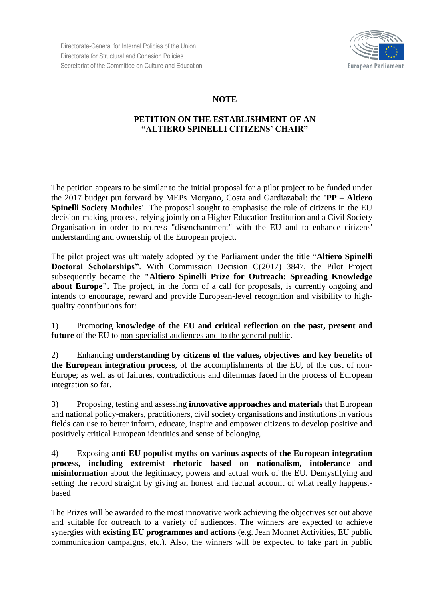Directorate-General for Internal Policies of the Union Directorate for Structural and Cohesion Policies Secretariat of the Committee on Culture and Education



## **NOTE**

## **PETITION ON THE ESTABLISHMENT OF AN "ALTIERO SPINELLI CITIZENS' CHAIR"**

The petition appears to be similar to the initial proposal for a pilot project to be funded under the 2017 budget put forward by MEPs Morgano, Costa and Gardiazabal: the **'PP – Altiero Spinelli Society Modules'**. The proposal sought to emphasise the role of citizens in the EU decision-making process, relying jointly on a Higher Education Institution and a Civil Society Organisation in order to redress "disenchantment" with the EU and to enhance citizens' understanding and ownership of the European project.

The pilot project was ultimately adopted by the Parliament under the title "**Altiero Spinelli Doctoral Scholarships"**. With Commission Decision C(2017) 3847, the Pilot Project subsequently became the **"Altiero Spinelli Prize for Outreach: Spreading Knowledge about Europe".** The project, in the form of a call for proposals, is currently ongoing and intends to encourage, reward and provide European-level recognition and visibility to highquality contributions for:

1) Promoting **knowledge of the EU and critical reflection on the past, present and future** of the EU to non-specialist audiences and to the general public.

2) Enhancing **understanding by citizens of the values, objectives and key benefits of the European integration process**, of the accomplishments of the EU, of the cost of non-Europe; as well as of failures, contradictions and dilemmas faced in the process of European integration so far.

3) Proposing, testing and assessing **innovative approaches and materials** that European and national policy-makers, practitioners, civil society organisations and institutions in various fields can use to better inform, educate, inspire and empower citizens to develop positive and positively critical European identities and sense of belonging.

4) Exposing **anti-EU populist myths on various aspects of the European integration process, including extremist rhetoric based on nationalism, intolerance and misinformation** about the legitimacy, powers and actual work of the EU. Demystifying and setting the record straight by giving an honest and factual account of what really happens. based

The Prizes will be awarded to the most innovative work achieving the objectives set out above and suitable for outreach to a variety of audiences. The winners are expected to achieve synergies with **existing EU programmes and actions** (e.g. Jean Monnet Activities, EU public communication campaigns, etc.). Also, the winners will be expected to take part in public